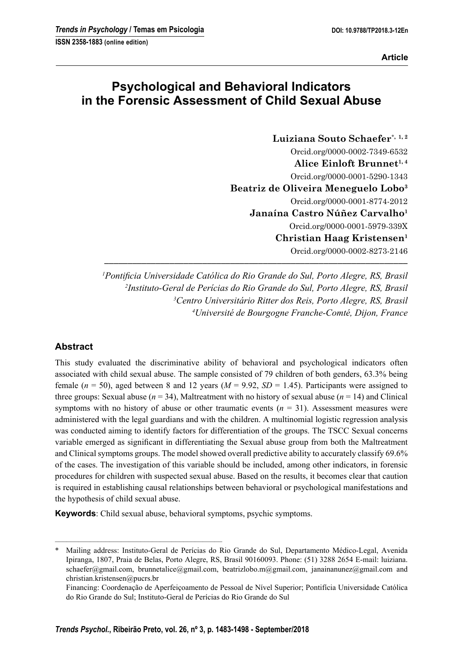# **Psychological and Behavioral Indicators in the Forensic Assessment of Child Sexual Abuse**

**Luiziana Souto Schaefer**\***, 1, 2** Orcid.org/0000-0002-7349-6532 Alice Einloft Brunnet<sup>1, 4</sup> Orcid.org/0000-0001-5290-1343 **Beatriz de Oliveira Meneguelo Lobo3** Orcid.org/0000-0001-8774-2012 **Janaína Castro Núñez Carvalho1** Orcid.org/0000-0001-5979-339X **Christian Haag Kristensen1** Orcid.org/0000-0002-8273-2146

<sup>1</sup> Pontificia Universidade Católica do Rio Grande do Sul, Porto Alegre, RS, Brasil *Instituto-Geral de Perícias do Rio Grande do Sul, Porto Alegre, RS, Brasil Centro Universitário Ritter dos Reis, Porto Alegre, RS, Brasil Université de Bourgogne Franche-Comté, Dijon, France*

**–––––––––––––––––––––––––––––––––––––––––––––––––––––––––––––––––**

## **Abstract**

This study evaluated the discriminative ability of behavioral and psychological indicators often associated with child sexual abuse. The sample consisted of 79 children of both genders, 63.3% being female ( $n = 50$ ), aged between 8 and 12 years ( $M = 9.92$ ,  $SD = 1.45$ ). Participants were assigned to three groups: Sexual abuse  $(n = 34)$ , Maltreatment with no history of sexual abuse  $(n = 14)$  and Clinical symptoms with no history of abuse or other traumatic events  $(n = 31)$ . Assessment measures were administered with the legal guardians and with the children. A multinomial logistic regression analysis was conducted aiming to identify factors for differentiation of the groups. The TSCC Sexual concerns variable emerged as significant in differentiating the Sexual abuse group from both the Maltreatment and Clinical symptoms groups. The model showed overall predictive ability to accurately classify 69.6% of the cases. The investigation of this variable should be included, among other indicators, in forensic procedures for children with suspected sexual abuse. Based on the results, it becomes clear that caution is required in establishing causal relationships between behavioral or psychological manifestations and the hypothesis of child sexual abuse.

**Keywords**: Child sexual abuse, behavioral symptoms, psychic symptoms.

–––––––––––––––––––––––––––––––––––––––––––

<sup>\*</sup> Mailing address: Instituto-Geral de Perícias do Rio Grande do Sul, Departamento Médico-Legal, Avenida Ipiranga, 1807, Praia de Belas, Porto Alegre, RS, Brasil 90160093. Phone: (51) 3288 2654 E-mail: luiziana. schaefer@gmail.com, brunnetalice@gmail.com, beatrizlobo.m@gmail.com, janainanunez@gmail.com and christian.kristensen@pucrs.br

Financing: Coordenação de Aperfeiçoamento de Pessoal de Nível Superior; Pontifícia Universidade Católica do Rio Grande do Sul; Instituto-Geral de Perícias do Rio Grande do Sul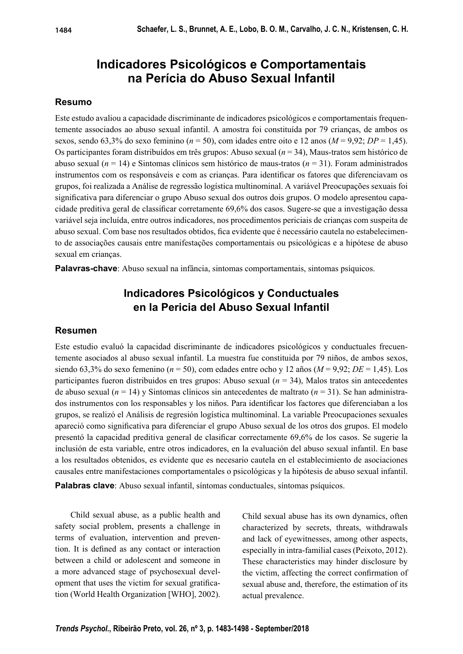# **Indicadores Psicológicos e Comportamentais na Perícia do Abuso Sexual Infantil**

#### **Resumo**

Este estudo avaliou a capacidade discriminante de indicadores psicológicos e comportamentais frequentemente associados ao abuso sexual infantil. A amostra foi constituída por 79 crianças, de ambos os sexos, sendo 63,3% do sexo feminino ( $n = 50$ ), com idades entre oito e 12 anos ( $M = 9.92$ ;  $DP = 1.45$ ). Os participantes foram distribuídos em três grupos: Abuso sexual (*n* = 34), Maus-tratos sem histórico de abuso sexual (*n* = 14) e Sintomas clínicos sem histórico de maus-tratos (*n* = 31). Foram administrados instrumentos com os responsáveis e com as crianças. Para identificar os fatores que diferenciavam os grupos, foi realizada a Análise de regressão logística multinominal. A variável Preocupações sexuais foi significativa para diferenciar o grupo Abuso sexual dos outros dois grupos. O modelo apresentou capacidade preditiva geral de classificar corretamente 69,6% dos casos. Sugere-se que a investigação dessa variável seja incluída, entre outros indicadores, nos procedimentos periciais de crianças com suspeita de abuso sexual. Com base nos resultados obtidos, fica evidente que é necessário cautela no estabelecimento de associações causais entre manifestações comportamentais ou psicológicas e a hipótese de abuso sexual em crianças.

**Palavras-chave**: Abuso sexual na infância, sintomas comportamentais, sintomas psíquicos.

## **Indicadores Psicológicos y Conductuales en la Pericia del Abuso Sexual Infantil**

### **Resumen**

Este estudio evaluó la capacidad discriminante de indicadores psicológicos y conductuales frecuentemente asociados al abuso sexual infantil. La muestra fue constituida por 79 niños, de ambos sexos, siendo 63,3% do sexo femenino (*n* = 50), com edades entre ocho y 12 años (*M* = 9,92; *DE* = 1,45). Los participantes fueron distribuidos en tres grupos: Abuso sexual (*n* = 34), Malos tratos sin antecedentes de abuso sexual (*n* = 14) y Sintomas clínicos sin antecedentes de maltrato (*n* = 31). Se han administrados instrumentos con los responsables y los niños. Para identificar los factores que diferenciaban a los grupos, se realizó el Análisis de regresión logística multinominal. La variable Preocupaciones sexuales apareció como significativa para diferenciar el grupo Abuso sexual de los otros dos grupos. El modelo presentó la capacidad preditiva general de clasificar correctamente 69,6% de los casos. Se sugerie la inclusión de esta variable, entre otros indicadores, en la evaluación del abuso sexual infantil. En base a los resultados obtenidos, es evidente que es necesario cautela en el establecimiento de asociaciones causales entre manifestaciones comportamentales o psicológicas y la hipótesis de abuso sexual infantil.

**Palabras clave**: Abuso sexual infantil, síntomas conductuales, síntomas psíquicos.

Child sexual abuse, as a public health and safety social problem, presents a challenge in terms of evaluation, intervention and prevention. It is defined as any contact or interaction between a child or adolescent and someone in a more advanced stage of psychosexual development that uses the victim for sexual gratification (World Health Organization [WHO], 2002).

Child sexual abuse has its own dynamics, often characterized by secrets, threats, withdrawals and lack of eyewitnesses, among other aspects, especially in intra-familial cases (Peixoto, 2012). These characteristics may hinder disclosure by the victim, affecting the correct confirmation of sexual abuse and, therefore, the estimation of its actual prevalence.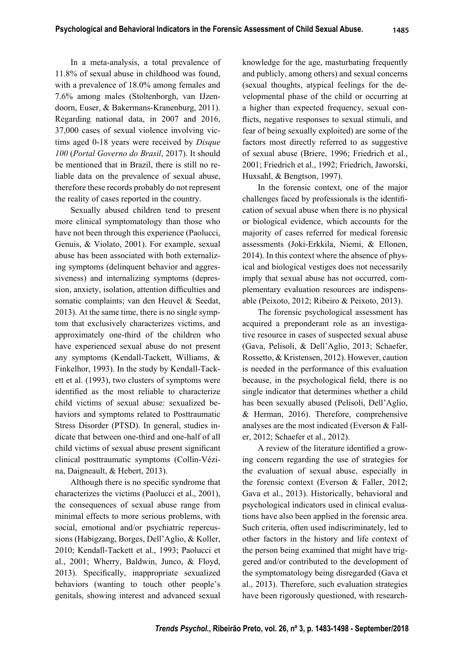In a meta-analysis, a total prevalence of 11.8% of sexual abuse in childhood was found, with a prevalence of 18.0% among females and 7.6% among males (Stoltenborgh, van IJzendoorn, Euser, & Bakermans-Kranenburg, 2011). Regarding national data, in 2007 and 2016, 37,000 cases of sexual violence involving victims aged 0-18 years were received by *Disque* 

*100* (*Portal Governo do Brasil*, 2017). It should be mentioned that in Brazil, there is still no reliable data on the prevalence of sexual abuse, therefore these records probably do not represent the reality of cases reported in the country.

Sexually abused children tend to present more clinical symptomatology than those who have not been through this experience (Paolucci, Genuis, & Violato, 2001). For example, sexual abuse has been associated with both externalizing symptoms (delinquent behavior and aggressiveness) and internalizing symptoms (depression, anxiety, isolation, attention difficulties and somatic complaints; van den Heuvel & Seedat, 2013). At the same time, there is no single symptom that exclusively characterizes victims, and approximately one-third of the children who have experienced sexual abuse do not present any symptoms (Kendall-Tackett, Williams, & Finkelhor, 1993). In the study by Kendall-Tackett et al. (1993), two clusters of symptoms were identified as the most reliable to characterize child victims of sexual abuse: sexualized behaviors and symptoms related to Posttraumatic Stress Disorder (PTSD). In general, studies indicate that between one-third and one-half of all child victims of sexual abuse present significant clinical posttraumatic symptoms (Collin-Vézina, Daigneault, & Hebert, 2013).

Although there is no specific syndrome that characterizes the victims (Paolucci et al., 2001), the consequences of sexual abuse range from minimal effects to more serious problems, with social, emotional and/or psychiatric repercussions (Habigzang, Borges, Dell'Aglio, & Koller, 2010; Kendall-Tackett et al., 1993; Paolucci et al., 2001; Wherry, Baldwin, Junco, & Floyd, 2013). Specifically, inappropriate sexualized behaviors (wanting to touch other people's genitals, showing interest and advanced sexual

knowledge for the age, masturbating frequently and publicly, among others) and sexual concerns (sexual thoughts, atypical feelings for the developmental phase of the child or occurring at a higher than expected frequency, sexual conflicts, negative responses to sexual stimuli, and fear of being sexually exploited) are some of the factors most directly referred to as suggestive of sexual abuse (Briere, 1996; Friedrich et al., 2001; Friedrich et al., 1992; Friedrich, Jaworski, Huxsahl, & Bengtson, 1997).

In the forensic context, one of the major challenges faced by professionals is the identification of sexual abuse when there is no physical or biological evidence, which accounts for the majority of cases referred for medical forensic assessments (Joki-Erkkila, Niemi, & Ellonen, 2014). In this context where the absence of physical and biological vestiges does not necessarily imply that sexual abuse has not occurred, complementary evaluation resources are indispensable (Peixoto, 2012; Ribeiro & Peixoto, 2013).

The forensic psychological assessment has acquired a preponderant role as an investigative resource in cases of suspected sexual abuse (Gava, Pelisoli, & Dell'Aglio, 2013; Schaefer, Rossetto, & Kristensen, 2012). However, caution is needed in the performance of this evaluation because, in the psychological field, there is no single indicator that determines whether a child has been sexually abused (Pelisoli, Dell'Aglio, & Herman, 2016). Therefore, comprehensive analyses are the most indicated (Everson & Faller, 2012; Schaefer et al., 2012).

A review of the literature identified a growing concern regarding the use of strategies for the evaluation of sexual abuse, especially in the forensic context (Everson & Faller, 2012; Gava et al., 2013). Historically, behavioral and psychological indicators used in clinical evaluations have also been applied in the forensic area. Such criteria, often used indiscriminately, led to other factors in the history and life context of the person being examined that might have triggered and/or contributed to the development of the symptomatology being disregarded (Gava et al., 2013). Therefore, such evaluation strategies have been rigorously questioned, with research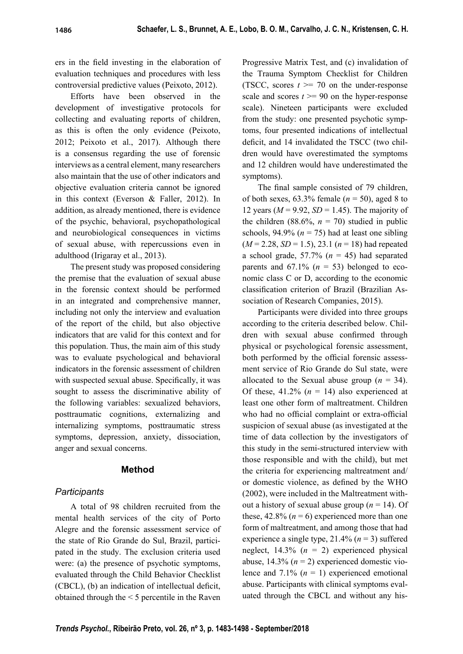ers in the field investing in the elaboration of evaluation techniques and procedures with less controversial predictive values (Peixoto, 2012).

Efforts have been observed in the development of investigative protocols for collecting and evaluating reports of children, as this is often the only evidence (Peixoto, 2012; Peixoto et al., 2017). Although there is a consensus regarding the use of forensic interviews as a central element, many researchers also maintain that the use of other indicators and objective evaluation criteria cannot be ignored in this context (Everson & Faller, 2012). In addition, as already mentioned, there is evidence of the psychic, behavioral, psychopathological and neurobiological consequences in victims of sexual abuse, with repercussions even in adulthood (Irigaray et al., 2013).

The present study was proposed considering the premise that the evaluation of sexual abuse in the forensic context should be performed in an integrated and comprehensive manner, including not only the interview and evaluation of the report of the child, but also objective indicators that are valid for this context and for this population. Thus, the main aim of this study was to evaluate psychological and behavioral indicators in the forensic assessment of children with suspected sexual abuse. Specifically, it was sought to assess the discriminative ability of the following variables: sexualized behaviors, posttraumatic cognitions, externalizing and internalizing symptoms, posttraumatic stress symptoms, depression, anxiety, dissociation, anger and sexual concerns.

## **Method**

## *Participants*

A total of 98 children recruited from the mental health services of the city of Porto Alegre and the forensic assessment service of the state of Rio Grande do Sul, Brazil, participated in the study. The exclusion criteria used were: (a) the presence of psychotic symptoms, evaluated through the Child Behavior Checklist  $(CBCL)$ ,  $(b)$  an indication of intellectual deficit, obtained through the < 5 percentile in the Raven

Progressive Matrix Test, and (c) invalidation of the Trauma Symptom Checklist for Children (TSCC, scores  $t \ge 70$  on the under-response scale and scores  $t \ge 90$  on the hyper-response scale). Nineteen participants were excluded from the study: one presented psychotic symptoms, four presented indications of intellectual deficit, and 14 invalidated the TSCC (two children would have overestimated the symptoms and 12 children would have underestimated the symptoms).

The final sample consisted of 79 children, of both sexes,  $63.3\%$  female ( $n = 50$ ), aged 8 to 12 years  $(M = 9.92, SD = 1.45)$ . The majority of the children (88.6%,  $n = 70$ ) studied in public schools,  $94.9\%$  ( $n = 75$ ) had at least one sibling  $(M = 2.28, SD = 1.5)$ , 23.1  $(n = 18)$  had repeated a school grade,  $57.7\%$  ( $n = 45$ ) had separated parents and  $67.1\%$  ( $n = 53$ ) belonged to economic class C or D, according to the economic classification criterion of Brazil (Brazilian Association of Research Companies, 2015).

Participants were divided into three groups according to the criteria described below. Children with sexual abuse confirmed through physical or psychological forensic assessment, both performed by the official forensic assessment service of Rio Grande do Sul state, were allocated to the Sexual abuse group  $(n = 34)$ . Of these,  $41.2\%$  ( $n = 14$ ) also experienced at least one other form of maltreatment. Children who had no official complaint or extra-official suspicion of sexual abuse (as investigated at the time of data collection by the investigators of this study in the semi-structured interview with those responsible and with the child), but met the criteria for experiencing maltreatment and/ or domestic violence, as defined by the WHO (2002), were included in the Maltreatment without a history of sexual abuse group (*n* = 14). Of these,  $42.8\%$  ( $n = 6$ ) experienced more than one form of maltreatment, and among those that had experience a single type, 21.4% (*n* = 3) suffered neglect, 14.3% (*n* = 2) experienced physical abuse,  $14.3\%$  ( $n = 2$ ) experienced domestic violence and 7.1% (*n* = 1) experienced emotional abuse. Participants with clinical symptoms evaluated through the CBCL and without any his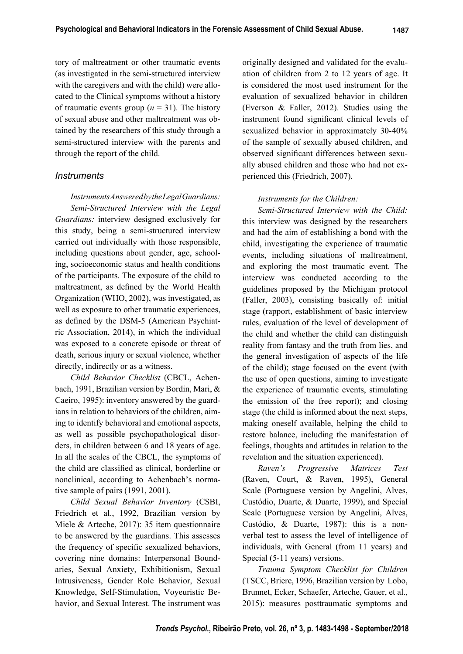tory of maltreatment or other traumatic events (as investigated in the semi-structured interview with the caregivers and with the child) were allocated to the Clinical symptoms without a history of traumatic events group  $(n = 31)$ . The history of sexual abuse and other maltreatment was obtained by the researchers of this study through a semi-structured interview with the parents and through the report of the child.

## *Instruments*

*Instruments Answered by the Legal Guardians: Semi-Structured Interview with the Legal Guardians:* interview designed exclusively for this study, being a semi-structured interview carried out individually with those responsible, including questions about gender, age, schooling, socioeconomic status and health conditions of the participants. The exposure of the child to maltreatment, as defined by the World Health Organization (WHO, 2002), was investigated, as well as exposure to other traumatic experiences, as defined by the DSM-5 (American Psychiatric Association, 2014), in which the individual was exposed to a concrete episode or threat of death, serious injury or sexual violence, whether directly, indirectly or as a witness.

*Child Behavior Checklist* (CBCL, Achenbach, 1991, Brazilian version by Bordin, Mari, & Caeiro, 1995): inventory answered by the guardians in relation to behaviors of the children, aiming to identify behavioral and emotional aspects, as well as possible psychopathological disorders, in children between 6 and 18 years of age. In all the scales of the CBCL, the symptoms of the child are classified as clinical, borderline or nonclinical, according to Achenbach's normative sample of pairs (1991, 2001).

*Child Sexual Behavior Inventory* (CSBI, Friedrich et al., 1992, Brazilian version by Miele & Arteche, 2017): 35 item questionnaire to be answered by the guardians. This assesses the frequency of specific sexualized behaviors, covering nine domains: Interpersonal Boundaries, Sexual Anxiety, Exhibitionism, Sexual Intrusiveness, Gender Role Behavior, Sexual Knowledge, Self-Stimulation, Voyeuristic Behavior, and Sexual Interest. The instrument was originally designed and validated for the evaluation of children from 2 to 12 years of age. It is considered the most used instrument for the evaluation of sexualized behavior in children (Everson & Faller, 2012). Studies using the instrument found significant clinical levels of sexualized behavior in approximately 30-40% of the sample of sexually abused children, and observed significant differences between sexually abused children and those who had not experienced this (Friedrich, 2007).

### *Instruments for the Children:*

*Semi-Structured Interview with the Child:*  this interview was designed by the researchers and had the aim of establishing a bond with the child, investigating the experience of traumatic events, including situations of maltreatment, and exploring the most traumatic event. The interview was conducted according to the guidelines proposed by the Michigan protocol (Faller, 2003), consisting basically of: initial stage (rapport, establishment of basic interview rules, evaluation of the level of development of the child and whether the child can distinguish reality from fantasy and the truth from lies, and the general investigation of aspects of the life of the child); stage focused on the event (with the use of open questions, aiming to investigate the experience of traumatic events, stimulating the emission of the free report); and closing stage (the child is informed about the next steps, making oneself available, helping the child to restore balance, including the manifestation of feelings, thoughts and attitudes in relation to the revelation and the situation experienced).

*Raven's Progressive Matrices Test*  (Raven, Court, & Raven, 1995), General Scale (Portuguese version by Angelini, Alves, Custódio, Duarte, & Duarte, 1999), and Special Scale (Portuguese version by Angelini, Alves, Custódio, & Duarte, 1987): this is a nonverbal test to assess the level of intelligence of individuals, with General (from 11 years) and Special (5-11 years) versions.

*Trauma Symptom Checklist for Children*  (TSCC, Briere, 1996, Brazilian version by Lobo, Brunnet, Ecker, Schaefer, Arteche, Gauer, et al., 2015): measures posttraumatic symptoms and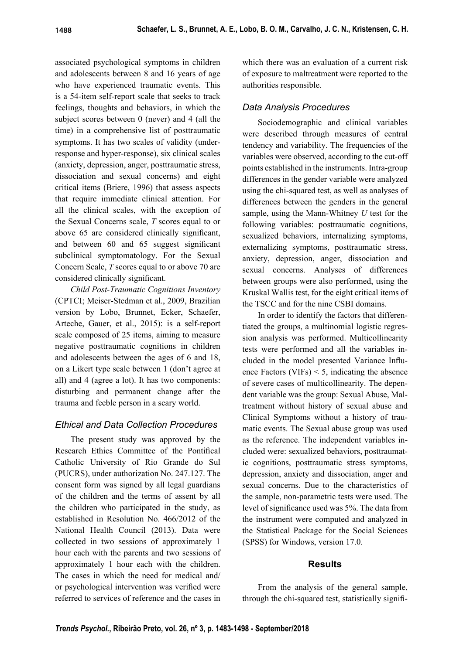associated psychological symptoms in children and adolescents between 8 and 16 years of age who have experienced traumatic events. This is a 54-item self-report scale that seeks to track feelings, thoughts and behaviors, in which the subject scores between 0 (never) and 4 (all the time) in a comprehensive list of posttraumatic symptoms. It has two scales of validity (underresponse and hyper-response), six clinical scales (anxiety, depression, anger, posttraumatic stress, dissociation and sexual concerns) and eight critical items (Briere, 1996) that assess aspects that require immediate clinical attention. For all the clinical scales, with the exception of the Sexual Concerns scale, *T* scores equal to or above 65 are considered clinically significant, and between  $60$  and  $65$  suggest significant subclinical symptomatology. For the Sexual Concern Scale, *T* scores equal to or above 70 are considered clinically significant.

*Child Post-Traumatic Cognitions Inventory*  (CPTCI; Meiser-Stedman et al., 2009, Brazilian version by Lobo, Brunnet, Ecker, Schaefer, Arteche, Gauer, et al., 2015): is a self-report scale composed of 25 items, aiming to measure negative posttraumatic cognitions in children and adolescents between the ages of 6 and 18, on a Likert type scale between 1 (don't agree at all) and 4 (agree a lot). It has two components: disturbing and permanent change after the trauma and feeble person in a scary world.

## *Ethical and Data Collection Procedures*

The present study was approved by the Research Ethics Committee of the Pontifical Catholic University of Rio Grande do Sul (PUCRS), under authorization No. 247.127. The consent form was signed by all legal guardians of the children and the terms of assent by all the children who participated in the study, as established in Resolution No. 466/2012 of the National Health Council (2013). Data were collected in two sessions of approximately 1 hour each with the parents and two sessions of approximately 1 hour each with the children. The cases in which the need for medical and/ or psychological intervention was verified were referred to services of reference and the cases in which there was an evaluation of a current risk of exposure to maltreatment were reported to the authorities responsible.

## *Data Analysis Procedures*

Sociodemographic and clinical variables were described through measures of central tendency and variability. The frequencies of the variables were observed, according to the cut-off points established in the instruments. Intra-group differences in the gender variable were analyzed using the chi-squared test, as well as analyses of differences between the genders in the general sample, using the Mann-Whitney *U* test for the following variables: posttraumatic cognitions, sexualized behaviors, internalizing symptoms, externalizing symptoms, posttraumatic stress, anxiety, depression, anger, dissociation and sexual concerns. Analyses of differences between groups were also performed, using the Kruskal Wallis test, for the eight critical items of the TSCC and for the nine CSBI domains.

In order to identify the factors that differentiated the groups, a multinomial logistic regression analysis was performed. Multicollinearity tests were performed and all the variables included in the model presented Variance Influence Factors (VIFs)  $\le$  5, indicating the absence of severe cases of multicollinearity. The dependent variable was the group: Sexual Abuse, Maltreatment without history of sexual abuse and Clinical Symptoms without a history of traumatic events. The Sexual abuse group was used as the reference. The independent variables included were: sexualized behaviors, posttraumatic cognitions, posttraumatic stress symptoms, depression, anxiety and dissociation, anger and sexual concerns. Due to the characteristics of the sample, non-parametric tests were used. The level of significance used was 5%. The data from the instrument were computed and analyzed in the Statistical Package for the Social Sciences (SPSS) for Windows, version 17.0.

## **Results**

From the analysis of the general sample, through the chi-squared test, statistically signifi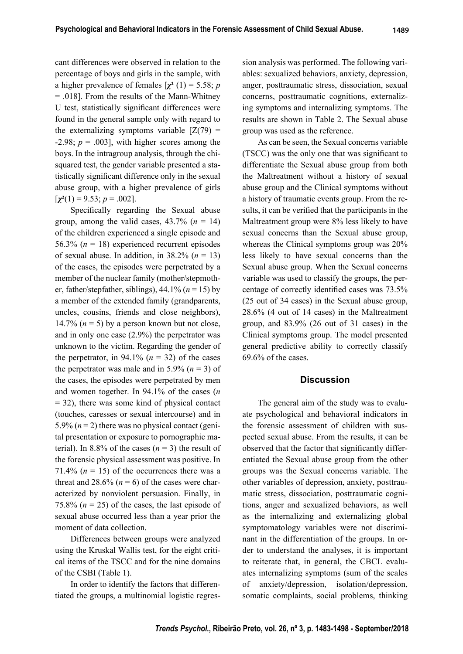cant differences were observed in relation to the percentage of boys and girls in the sample, with a higher prevalence of females  $[\chi^2(1) = 5.58; p$ = .018]. From the results of the Mann-Whitney U test, statistically significant differences were found in the general sample only with regard to the externalizing symptoms variable  $[Z(79) =$  $-2.98$ ;  $p = .003$ ], with higher scores among the boys. In the intragroup analysis, through the chisquared test, the gender variable presented a statistically significant difference only in the sexual abuse group, with a higher prevalence of girls  $[\chi^2(1) = 9.53; p = .002]$ .

Specifically regarding the Sexual abuse group, among the valid cases,  $43.7\%$  ( $n = 14$ ) of the children experienced a single episode and 56.3% (*n* = 18) experienced recurrent episodes of sexual abuse. In addition, in  $38.2\%$  ( $n = 13$ ) of the cases, the episodes were perpetrated by a member of the nuclear family (mother/stepmother, father/stepfather, siblings),  $44.1\%$  ( $n = 15$ ) by a member of the extended family (grandparents, uncles, cousins, friends and close neighbors), 14.7%  $(n = 5)$  by a person known but not close, and in only one case (2.9%) the perpetrator was unknown to the victim. Regarding the gender of the perpetrator, in 94.1% ( $n = 32$ ) of the cases the perpetrator was male and in 5.9%  $(n = 3)$  of the cases, the episodes were perpetrated by men and women together. In 94.1% of the cases (*n*  $= 32$ ), there was some kind of physical contact (touches, caresses or sexual intercourse) and in 5.9%  $(n=2)$  there was no physical contact (genital presentation or exposure to pornographic material). In 8.8% of the cases  $(n = 3)$  the result of the forensic physical assessment was positive. In 71.4%  $(n = 15)$  of the occurrences there was a threat and  $28.6\%$  ( $n = 6$ ) of the cases were characterized by nonviolent persuasion. Finally, in 75.8%  $(n = 25)$  of the cases, the last episode of sexual abuse occurred less than a year prior the moment of data collection.

Differences between groups were analyzed using the Kruskal Wallis test, for the eight critical items of the TSCC and for the nine domains of the CSBI (Table 1).

In order to identify the factors that differentiated the groups, a multinomial logistic regression analysis was performed. The following variables: sexualized behaviors, anxiety, depression, anger, posttraumatic stress, dissociation, sexual concerns, posttraumatic cognitions, externalizing symptoms and internalizing symptoms. The results are shown in Table 2. The Sexual abuse group was used as the reference.

As can be seen, the Sexual concerns variable (TSCC) was the only one that was significant to differentiate the Sexual abuse group from both the Maltreatment without a history of sexual abuse group and the Clinical symptoms without a history of traumatic events group. From the results, it can be verified that the participants in the Maltreatment group were 8% less likely to have sexual concerns than the Sexual abuse group, whereas the Clinical symptoms group was 20% less likely to have sexual concerns than the Sexual abuse group. When the Sexual concerns variable was used to classify the groups, the percentage of correctly identified cases was  $73.5\%$ (25 out of 34 cases) in the Sexual abuse group, 28.6% (4 out of 14 cases) in the Maltreatment group, and 83.9% (26 out of 31 cases) in the Clinical symptoms group. The model presented general predictive ability to correctly classify 69.6% of the cases.

#### **Discussion**

The general aim of the study was to evaluate psychological and behavioral indicators in the forensic assessment of children with suspected sexual abuse. From the results, it can be observed that the factor that significantly differentiated the Sexual abuse group from the other groups was the Sexual concerns variable. The other variables of depression, anxiety, posttraumatic stress, dissociation, posttraumatic cognitions, anger and sexualized behaviors, as well as the internalizing and externalizing global symptomatology variables were not discriminant in the differentiation of the groups. In order to understand the analyses, it is important to reiterate that, in general, the CBCL evaluates internalizing symptoms (sum of the scales of anxiety/depression, isolation/depression, somatic complaints, social problems, thinking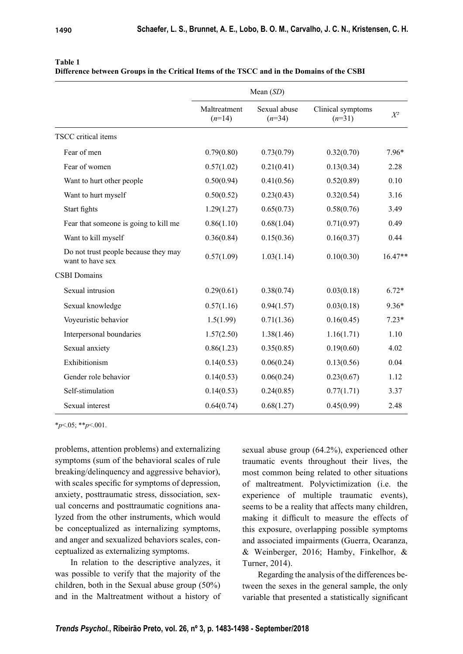|                                                          | Mean $(SD)$              |                          |                               |           |
|----------------------------------------------------------|--------------------------|--------------------------|-------------------------------|-----------|
|                                                          | Maltreatment<br>$(n=14)$ | Sexual abuse<br>$(n=34)$ | Clinical symptoms<br>$(n=31)$ | $X^2$     |
| <b>TSCC</b> critical items                               |                          |                          |                               |           |
| Fear of men                                              | 0.79(0.80)               | 0.73(0.79)               | 0.32(0.70)                    | $7.96*$   |
| Fear of women                                            | 0.57(1.02)               | 0.21(0.41)               | 0.13(0.34)                    | 2.28      |
| Want to hurt other people                                | 0.50(0.94)               | 0.41(0.56)               | 0.52(0.89)                    | 0.10      |
| Want to hurt myself                                      | 0.50(0.52)               | 0.23(0.43)               | 0.32(0.54)                    | 3.16      |
| Start fights                                             | 1.29(1.27)               | 0.65(0.73)               | 0.58(0.76)                    | 3.49      |
| Fear that someone is going to kill me                    | 0.86(1.10)               | 0.68(1.04)               | 0.71(0.97)                    | 0.49      |
| Want to kill myself                                      | 0.36(0.84)               | 0.15(0.36)               | 0.16(0.37)                    | 0.44      |
| Do not trust people because they may<br>want to have sex | 0.57(1.09)               | 1.03(1.14)               | 0.10(0.30)                    | $16.47**$ |
| <b>CSBI</b> Domains                                      |                          |                          |                               |           |
| Sexual intrusion                                         | 0.29(0.61)               | 0.38(0.74)               | 0.03(0.18)                    | $6.72*$   |
| Sexual knowledge                                         | 0.57(1.16)               | 0.94(1.57)               | 0.03(0.18)                    | $9.36*$   |
| Voyeuristic behavior                                     | 1.5(1.99)                | 0.71(1.36)               | 0.16(0.45)                    | $7.23*$   |
| Interpersonal boundaries                                 | 1.57(2.50)               | 1.38(1.46)               | 1.16(1.71)                    | 1.10      |
| Sexual anxiety                                           | 0.86(1.23)               | 0.35(0.85)               | 0.19(0.60)                    | 4.02      |
| Exhibitionism                                            | 0.14(0.53)               | 0.06(0.24)               | 0.13(0.56)                    | 0.04      |
| Gender role behavior                                     | 0.14(0.53)               | 0.06(0.24)               | 0.23(0.67)                    | 1.12      |
| Self-stimulation                                         | 0.14(0.53)               | 0.24(0.85)               | 0.77(1.71)                    | 3.37      |
| Sexual interest                                          | 0.64(0.74)               | 0.68(1.27)               | 0.45(0.99)                    | 2.48      |

|  |  |  |  |  | Difference between Groups in the Critical Items of the TSCC and in the Domains of the CSBI |  |
|--|--|--|--|--|--------------------------------------------------------------------------------------------|--|
|--|--|--|--|--|--------------------------------------------------------------------------------------------|--|

\**p*<.05; \*\**p*<.001.

problems, attention problems) and externalizing symptoms (sum of the behavioral scales of rule breaking/delinquency and aggressive behavior), with scales specific for symptoms of depression, anxiety, posttraumatic stress, dissociation, sexual concerns and posttraumatic cognitions analyzed from the other instruments, which would be conceptualized as internalizing symptoms, and anger and sexualized behaviors scales, conceptualized as externalizing symptoms.

In relation to the descriptive analyzes, it was possible to verify that the majority of the children, both in the Sexual abuse group (50%) and in the Maltreatment without a history of sexual abuse group (64.2%), experienced other traumatic events throughout their lives, the most common being related to other situations of maltreatment. Polyvictimization (i.e. the experience of multiple traumatic events), seems to be a reality that affects many children, making it difficult to measure the effects of this exposure, overlapping possible symptoms and associated impairments (Guerra, Ocaranza, & Weinberger, 2016; Hamby, Finkelhor, & Turner, 2014).

Regarding the analysis of the differences between the sexes in the general sample, the only variable that presented a statistically significant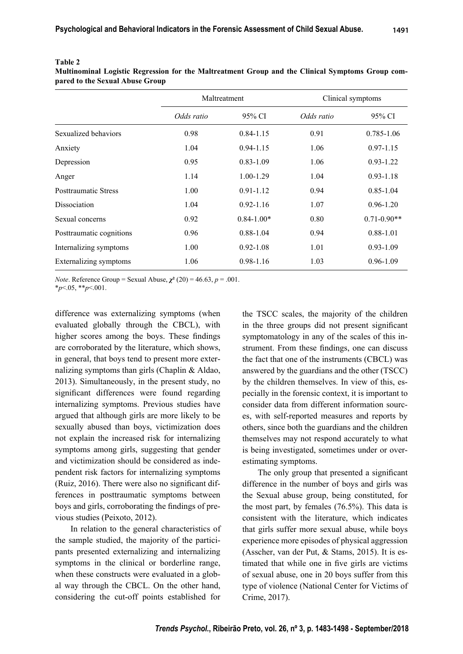|                             | Maltreatment |                | Clinical symptoms |                 |
|-----------------------------|--------------|----------------|-------------------|-----------------|
|                             | Odds ratio   | 95% CI         | Odds ratio        | 95% CI          |
| Sexualized behaviors        | 0.98         | $0.84 - 1.15$  | 0.91              | 0.785-1.06      |
| Anxiety                     | 1.04         | $0.94 - 1.15$  | 1.06              | $0.97 - 1.15$   |
| Depression                  | 0.95         | $0.83 - 1.09$  | 1.06              | $0.93 - 1.22$   |
| Anger                       | 1.14         | $1.00 - 1.29$  | 1.04              | $0.93 - 1.18$   |
| <b>Posttraumatic Stress</b> | 1.00         | $0.91 - 1.12$  | 0.94              | $0.85 - 1.04$   |
| <b>Dissociation</b>         | 1.04         | $0.92 - 1.16$  | 1.07              | $0.96 - 1.20$   |
| Sexual concerns             | 0.92         | $0.84 - 1.00*$ | 0.80              | $0.71 - 0.90**$ |
| Posttraumatic cognitions    | 0.96         | $0.88 - 1.04$  | 0.94              | $0.88 - 1.01$   |
| Internalizing symptoms      | 1.00         | $0.92 - 1.08$  | 1.01              | $0.93 - 1.09$   |
| Externalizing symptoms      | 1.06         | $0.98 - 1.16$  | 1.03              | $0.96 - 1.09$   |

#### **Table 2**

**Multinominal Logistic Regression for the Maltreatment Group and the Clinical Symptoms Group compared to the Sexual Abuse Group**

*Note*. Reference Group = Sexual Abuse,  $\chi^2$  (20) = 46.63, *p* = .001.

\**p*<.05, \*\**p*<.001.

difference was externalizing symptoms (when evaluated globally through the CBCL), with higher scores among the boys. These findings are corroborated by the literature, which shows, in general, that boys tend to present more externalizing symptoms than girls (Chaplin & Aldao, 2013). Simultaneously, in the present study, no significant differences were found regarding internalizing symptoms. Previous studies have argued that although girls are more likely to be sexually abused than boys, victimization does not explain the increased risk for internalizing symptoms among girls, suggesting that gender and victimization should be considered as independent risk factors for internalizing symptoms (Ruiz,  $2016$ ). There were also no significant differences in posttraumatic symptoms between boys and girls, corroborating the findings of previous studies (Peixoto, 2012).

In relation to the general characteristics of the sample studied, the majority of the participants presented externalizing and internalizing symptoms in the clinical or borderline range, when these constructs were evaluated in a global way through the CBCL. On the other hand, considering the cut-off points established for the TSCC scales, the majority of the children in the three groups did not present significant symptomatology in any of the scales of this instrument. From these findings, one can discuss the fact that one of the instruments (CBCL) was answered by the guardians and the other (TSCC) by the children themselves. In view of this, especially in the forensic context, it is important to consider data from different information sources, with self-reported measures and reports by others, since both the guardians and the children themselves may not respond accurately to what is being investigated, sometimes under or overestimating symptoms.

The only group that presented a significant difference in the number of boys and girls was the Sexual abuse group, being constituted, for the most part, by females (76.5%). This data is consistent with the literature, which indicates that girls suffer more sexual abuse, while boys experience more episodes of physical aggression (Asscher, van der Put, & Stams, 2015). It is estimated that while one in five girls are victims of sexual abuse, one in 20 boys suffer from this type of violence (National Center for Victims of Crime, 2017).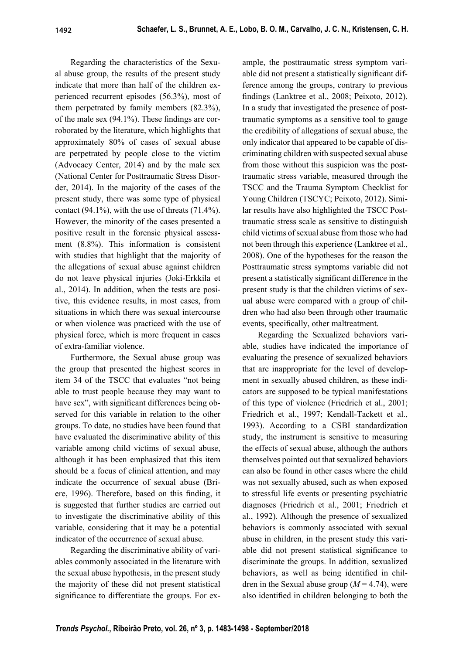Regarding the characteristics of the Sexual abuse group, the results of the present study indicate that more than half of the children experienced recurrent episodes (56.3%), most of them perpetrated by family members (82.3%), of the male sex  $(94.1\%)$ . These findings are corroborated by the literature, which highlights that approximately 80% of cases of sexual abuse are perpetrated by people close to the victim (Advocacy Center, 2014) and by the male sex (National Center for Posttraumatic Stress Disorder, 2014). In the majority of the cases of the present study, there was some type of physical contact (94.1%), with the use of threats (71.4%). However, the minority of the cases presented a positive result in the forensic physical assessment (8.8%). This information is consistent with studies that highlight that the majority of the allegations of sexual abuse against children do not leave physical injuries (Joki-Erkkila et al., 2014). In addition, when the tests are positive, this evidence results, in most cases, from situations in which there was sexual intercourse or when violence was practiced with the use of physical force, which is more frequent in cases of extra-familiar violence.

Furthermore, the Sexual abuse group was the group that presented the highest scores in item 34 of the TSCC that evaluates "not being able to trust people because they may want to have sex", with significant differences being observed for this variable in relation to the other groups. To date, no studies have been found that have evaluated the discriminative ability of this variable among child victims of sexual abuse, although it has been emphasized that this item should be a focus of clinical attention, and may indicate the occurrence of sexual abuse (Briere, 1996). Therefore, based on this finding, it is suggested that further studies are carried out to investigate the discriminative ability of this variable, considering that it may be a potential indicator of the occurrence of sexual abuse.

Regarding the discriminative ability of variables commonly associated in the literature with the sexual abuse hypothesis, in the present study the majority of these did not present statistical significance to differentiate the groups. For example, the posttraumatic stress symptom variable did not present a statistically significant difference among the groups, contrary to previous findings (Lanktree et al., 2008; Peixoto, 2012). In a study that investigated the presence of posttraumatic symptoms as a sensitive tool to gauge the credibility of allegations of sexual abuse, the only indicator that appeared to be capable of discriminating children with suspected sexual abuse from those without this suspicion was the posttraumatic stress variable, measured through the TSCC and the Trauma Symptom Checklist for Young Children (TSCYC; Peixoto, 2012). Similar results have also highlighted the TSCC Posttraumatic stress scale as sensitive to distinguish child victims of sexual abuse from those who had not been through this experience (Lanktree et al., 2008). One of the hypotheses for the reason the Posttraumatic stress symptoms variable did not present a statistically significant difference in the present study is that the children victims of sexual abuse were compared with a group of children who had also been through other traumatic events, specifically, other maltreatment.

Regarding the Sexualized behaviors variable, studies have indicated the importance of evaluating the presence of sexualized behaviors that are inappropriate for the level of development in sexually abused children, as these indicators are supposed to be typical manifestations of this type of violence (Friedrich et al., 2001; Friedrich et al., 1997; Kendall-Tackett et al., 1993). According to a CSBI standardization study, the instrument is sensitive to measuring the effects of sexual abuse, although the authors themselves pointed out that sexualized behaviors can also be found in other cases where the child was not sexually abused, such as when exposed to stressful life events or presenting psychiatric diagnoses (Friedrich et al., 2001; Friedrich et al., 1992). Although the presence of sexualized behaviors is commonly associated with sexual abuse in children, in the present study this variable did not present statistical significance to discriminate the groups. In addition, sexualized behaviors, as well as being identified in children in the Sexual abuse group  $(M = 4.74)$ , were also identified in children belonging to both the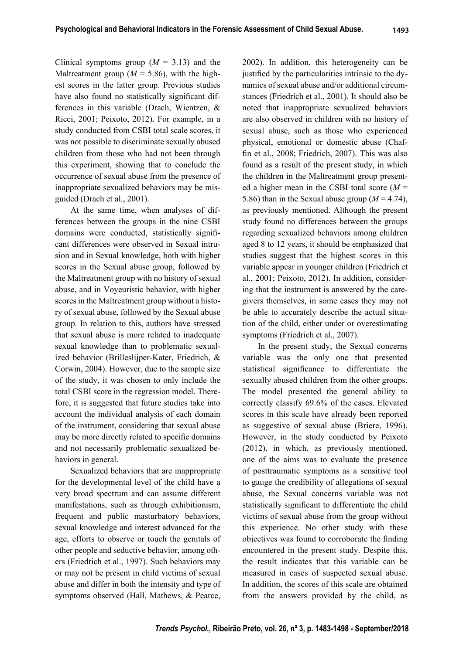Clinical symptoms group  $(M = 3.13)$  and the Maltreatment group ( $M = 5.86$ ), with the highest scores in the latter group. Previous studies have also found no statistically significant differences in this variable (Drach, Wientzen, & Ricci, 2001; Peixoto, 2012). For example, in a study conducted from CSBI total scale scores, it was not possible to discriminate sexually abused children from those who had not been through this experiment, showing that to conclude the occurrence of sexual abuse from the presence of inappropriate sexualized behaviors may be misguided (Drach et al., 2001).

At the same time, when analyses of differences between the groups in the nine CSBI domains were conducted, statistically significant differences were observed in Sexual intrusion and in Sexual knowledge, both with higher scores in the Sexual abuse group, followed by the Maltreatment group with no history of sexual abuse, and in Voyeuristic behavior, with higher scores in the Maltreatment group without a history of sexual abuse, followed by the Sexual abuse group. In relation to this, authors have stressed that sexual abuse is more related to inadequate sexual knowledge than to problematic sexualized behavior (Brilleslijper-Kater, Friedrich, & Corwin, 2004). However, due to the sample size of the study, it was chosen to only include the total CSBI score in the regression model. Therefore, it is suggested that future studies take into account the individual analysis of each domain of the instrument, considering that sexual abuse may be more directly related to specific domains and not necessarily problematic sexualized behaviors in general.

Sexualized behaviors that are inappropriate for the developmental level of the child have a very broad spectrum and can assume different manifestations, such as through exhibitionism, frequent and public masturbatory behaviors, sexual knowledge and interest advanced for the age, efforts to observe or touch the genitals of other people and seductive behavior, among others (Friedrich et al., 1997). Such behaviors may or may not be present in child victims of sexual abuse and differ in both the intensity and type of symptoms observed (Hall, Mathews, & Pearce, 2002). In addition, this heterogeneity can be justified by the particularities intrinsic to the dynamics of sexual abuse and/or additional circumstances (Friedrich et al., 2001). It should also be noted that inappropriate sexualized behaviors are also observed in children with no history of sexual abuse, such as those who experienced physical, emotional or domestic abuse (Chaffin et al., 2008; Friedrich, 2007). This was also found as a result of the present study, in which the children in the Maltreatment group presented a higher mean in the CSBI total score (*M* = 5.86) than in the Sexual abuse group  $(M=4.74)$ , as previously mentioned. Although the present study found no differences between the groups regarding sexualized behaviors among children aged 8 to 12 years, it should be emphasized that studies suggest that the highest scores in this variable appear in younger children (Friedrich et al., 2001; Peixoto, 2012). In addition, considering that the instrument is answered by the caregivers themselves, in some cases they may not be able to accurately describe the actual situation of the child, either under or overestimating symptoms (Friedrich et al., 2007).

In the present study, the Sexual concerns variable was the only one that presented statistical significance to differentiate the sexually abused children from the other groups. The model presented the general ability to correctly classify 69.6% of the cases. Elevated scores in this scale have already been reported as suggestive of sexual abuse (Briere, 1996). However, in the study conducted by Peixoto (2012), in which, as previously mentioned, one of the aims was to evaluate the presence of posttraumatic symptoms as a sensitive tool to gauge the credibility of allegations of sexual abuse, the Sexual concerns variable was not statistically significant to differentiate the child victims of sexual abuse from the group without this experience. No other study with these objectives was found to corroborate the finding encountered in the present study. Despite this, the result indicates that this variable can be measured in cases of suspected sexual abuse. In addition, the scores of this scale are obtained from the answers provided by the child, as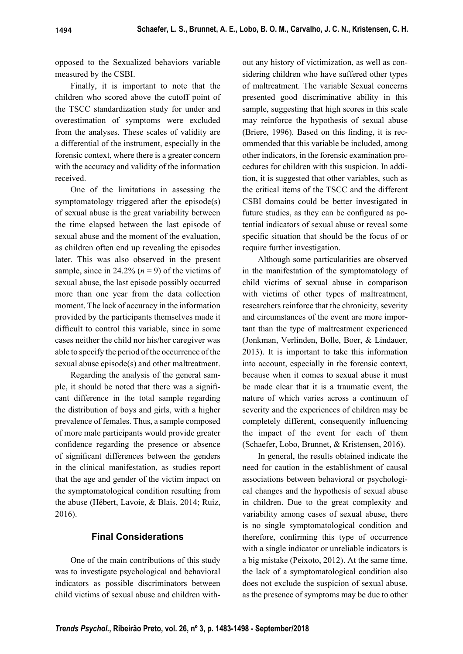opposed to the Sexualized behaviors variable measured by the CSBI.

Finally, it is important to note that the children who scored above the cutoff point of the TSCC standardization study for under and overestimation of symptoms were excluded from the analyses. These scales of validity are a differential of the instrument, especially in the forensic context, where there is a greater concern with the accuracy and validity of the information received.

One of the limitations in assessing the symptomatology triggered after the episode(s) of sexual abuse is the great variability between the time elapsed between the last episode of sexual abuse and the moment of the evaluation, as children often end up revealing the episodes later. This was also observed in the present sample, since in 24.2%  $(n = 9)$  of the victims of sexual abuse, the last episode possibly occurred more than one year from the data collection moment. The lack of accuracy in the information provided by the participants themselves made it difficult to control this variable, since in some cases neither the child nor his/her caregiver was able to specify the period of the occurrence of the sexual abuse episode(s) and other maltreatment.

Regarding the analysis of the general sample, it should be noted that there was a significant difference in the total sample regarding the distribution of boys and girls, with a higher prevalence of females. Thus, a sample composed of more male participants would provide greater confidence regarding the presence or absence of significant differences between the genders in the clinical manifestation, as studies report that the age and gender of the victim impact on the symptomatological condition resulting from the abuse (Hébert, Lavoie, & Blais, 2014; Ruiz, 2016).

## **Final Considerations**

One of the main contributions of this study was to investigate psychological and behavioral indicators as possible discriminators between child victims of sexual abuse and children without any history of victimization, as well as considering children who have suffered other types of maltreatment. The variable Sexual concerns presented good discriminative ability in this sample, suggesting that high scores in this scale may reinforce the hypothesis of sexual abuse (Briere, 1996). Based on this finding, it is recommended that this variable be included, among other indicators, in the forensic examination procedures for children with this suspicion. In addition, it is suggested that other variables, such as the critical items of the TSCC and the different CSBI domains could be better investigated in future studies, as they can be configured as potential indicators of sexual abuse or reveal some specific situation that should be the focus of or require further investigation.

Although some particularities are observed in the manifestation of the symptomatology of child victims of sexual abuse in comparison with victims of other types of maltreatment, researchers reinforce that the chronicity, severity and circumstances of the event are more important than the type of maltreatment experienced (Jonkman, Verlinden, Bolle, Boer, & Lindauer, 2013). It is important to take this information into account, especially in the forensic context, because when it comes to sexual abuse it must be made clear that it is a traumatic event, the nature of which varies across a continuum of severity and the experiences of children may be completely different, consequently influencing the impact of the event for each of them (Schaefer, Lobo, Brunnet, & Kristensen, 2016).

In general, the results obtained indicate the need for caution in the establishment of causal associations between behavioral or psychological changes and the hypothesis of sexual abuse in children. Due to the great complexity and variability among cases of sexual abuse, there is no single symptomatological condition and therefore, confirming this type of occurrence with a single indicator or unreliable indicators is a big mistake (Peixoto, 2012). At the same time, the lack of a symptomatological condition also does not exclude the suspicion of sexual abuse, as the presence of symptoms may be due to other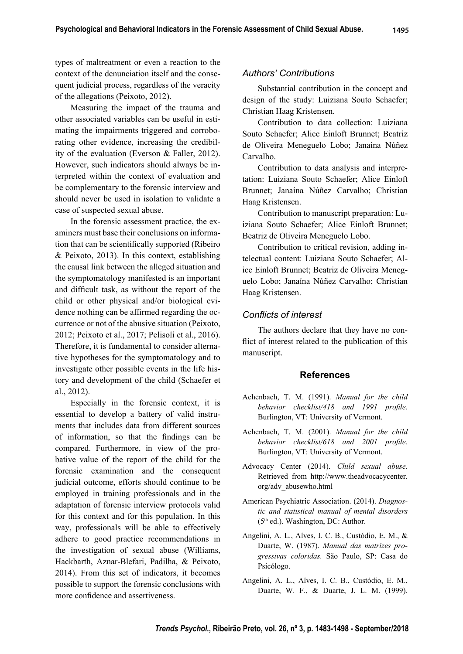types of maltreatment or even a reaction to the context of the denunciation itself and the consequent judicial process, regardless of the veracity of the allegations (Peixoto, 2012).

Measuring the impact of the trauma and other associated variables can be useful in estimating the impairments triggered and corroborating other evidence, increasing the credibility of the evaluation (Everson & Faller, 2012). However, such indicators should always be interpreted within the context of evaluation and be complementary to the forensic interview and should never be used in isolation to validate a case of suspected sexual abuse.

In the forensic assessment practice, the examiners must base their conclusions on information that can be scientifically supported (Ribeiro) & Peixoto, 2013). In this context, establishing the causal link between the alleged situation and the symptomatology manifested is an important and difficult task, as without the report of the child or other physical and/or biological evidence nothing can be affirmed regarding the occurrence or not of the abusive situation (Peixoto, 2012; Peixoto et al., 2017; Pelisoli et al., 2016). Therefore, it is fundamental to consider alternative hypotheses for the symptomatology and to investigate other possible events in the life history and development of the child (Schaefer et al., 2012).

Especially in the forensic context, it is essential to develop a battery of valid instruments that includes data from different sources of information, so that the findings can be compared. Furthermore, in view of the probative value of the report of the child for the forensic examination and the consequent judicial outcome, efforts should continue to be employed in training professionals and in the adaptation of forensic interview protocols valid for this context and for this population. In this way, professionals will be able to effectively adhere to good practice recommendations in the investigation of sexual abuse (Williams, Hackbarth, Aznar-Blefari, Padilha, & Peixoto, 2014). From this set of indicators, it becomes possible to support the forensic conclusions with more confidence and assertiveness.

## *Authors' Contributions*

Substantial contribution in the concept and design of the study: Luiziana Souto Schaefer; Christian Haag Kristensen.

Contribution to data collection: Luiziana Souto Schaefer; Alice Einloft Brunnet; Beatriz de Oliveira Meneguelo Lobo; Janaína Núñez Carvalho.

Contribution to data analysis and interpretation: Luiziana Souto Schaefer; Alice Einloft Brunnet; Janaína Núñez Carvalho; Christian Haag Kristensen.

Contribution to manuscript preparation: Luiziana Souto Schaefer; Alice Einloft Brunnet; Beatriz de Oliveira Meneguelo Lobo.

Contribution to critical revision, adding intelectual content: Luiziana Souto Schaefer; Alice Einloft Brunnet; Beatriz de Oliveira Meneguelo Lobo; Janaína Núñez Carvalho; Christian Haag Kristensen.

### *Confl icts of interest*

The authors declare that they have no conflict of interest related to the publication of this manuscript.

### **References**

- Achenbach, T. M. (1991). *Manual for the child behavior checklist/418 and 1991 profile.* Burlington, VT: University of Vermont.
- Achenbach, T. M. (2001). *Manual for the child behavior checklist/618 and 2001 profile.* Burlington, VT: University of Vermont.
- Advocacy Center (2014). *Child sexual abuse*. Retrieved from http://www.theadvocacycenter. org/adv\_abusewho.html
- American Psychiatric Association. (2014). *Diagnostic and statistical manual of mental disorders* (5th ed.). Washington, DC: Author.
- Angelini, A. L., Alves, I. C. B., Custódio, E. M., & Duarte, W. (1987). *Manual das matrizes progressivas coloridas.* São Paulo, SP: Casa do Psicólogo.
- Angelini, A. L., Alves, I. C. B., Custódio, E. M., Duarte, W. F., & Duarte, J. L. M. (1999).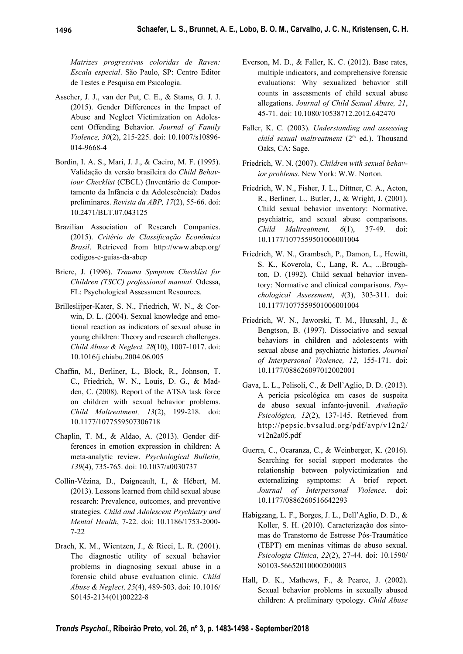*Matrizes progressivas coloridas de Raven: Escala especial*. São Paulo, SP: Centro Editor de Testes e Pesquisa em Psicologia.

- Asscher, J. J., van der Put, C. E., & Stams, G. J. J. (2015). Gender Differences in the Impact of Abuse and Neglect Victimization on Adolescent Offending Behavior. *Journal of Family Violence, 30*(2), 215-225. doi: 10.1007/s10896- 014-9668-4
- Bordin, I. A. S., Mari, J. J., & Caeiro, M. F. (1995). Validação da versão brasileira do *Child Behaviour Checklist* (CBCL) (Inventário de Comportamento da Infância e da Adolescência): Dados preliminares. *Revista da ABP, 17*(2), 55-66. doi: 10.2471/BLT.07.043125
- Brazilian Association of Research Companies. (2015). Critério de Classificação Econômica *Brasil*. Retrieved from http://www.abep.org/ codigos-e-guias-da-abep
- Briere, J. (1996). *Trauma Symptom Checklist for Children (TSCC) professional manual.* Odessa, FL: Psychological Assessment Resources.
- Brilleslijper-Kater, S. N., Friedrich, W. N., & Corwin, D. L. (2004). Sexual knowledge and emotional reaction as indicators of sexual abuse in young children: Theory and research challenges. *Child Abuse & Neglect, 28*(10), 1007-1017. doi: 10.1016/j.chiabu.2004.06.005
- Chaffin, M., Berliner, L., Block, R., Johnson, T. C., Friedrich, W. N., Louis, D. G., & Madden, C. (2008). Report of the ATSA task force on children with sexual behavior problems. *Child Maltreatment, 13*(2), 199-218. doi: 10.1177/1077559507306718
- Chaplin, T. M., & Aldao, A. (2013). Gender differences in emotion expression in children: A meta-analytic review. *Psychological Bulletin, 139*(4), 735-765. doi: 10.1037/a0030737
- Collin-Vézina, D., Daigneault, I., & Hébert, M. (2013). Lessons learned from child sexual abuse research: Prevalence, outcomes, and preventive strategies. *Child and Adolescent Psychiatry and Mental Health*, 7-22. doi: 10.1186/1753-2000- 7-22
- Drach, K. M., Wientzen, J., & Ricci, L. R. (2001). The diagnostic utility of sexual behavior problems in diagnosing sexual abuse in a forensic child abuse evaluation clinic. *Child Abuse & Neglect, 25*(4), 489-503. doi: 10.1016/ S0145-2134(01)00222-8
- Everson, M. D., & Faller, K. C. (2012). Base rates, multiple indicators, and comprehensive forensic evaluations: Why sexualized behavior still counts in assessments of child sexual abuse allegations. *Journal of Child Sexual Abuse, 21*, 45-71. doi: 10.1080/10538712.2012.642470
- Faller, K. C. (2003). *Understanding and assessing child sexual maltreatment* (2<sup>th</sup> ed.). Thousand Oaks, CA: Sage.
- Friedrich, W. N. (2007). *Children with sexual behavior problems*. New York: W.W. Norton.
- Friedrich, W. N., Fisher, J. L., Dittner, C. A., Acton, R., Berliner, L., Butler, J., & Wright, J. (2001). Child sexual behavior inventory: Normative, psychiatric, and sexual abuse comparisons. *Child Maltreatment, 6*(1), 37-49. doi: 10.1177/1077559501006001004
- Friedrich, W. N., Grambsch, P., Damon, L., Hewitt, S. K., Koverola, C., Lang, R. A., ...Broughton, D. (1992). Child sexual behavior inventory: Normative and clinical comparisons. *Psychological Assessment*, *4*(3), 303-311. doi: 10.1177/1077559501006001004
- Friedrich, W. N., Jaworski, T. M., Huxsahl, J., & Bengtson, B. (1997). Dissociative and sexual behaviors in children and adolescents with sexual abuse and psychiatric histories. *Journal of Interpersonal Violence, 12*, 155-171. doi: 10.1177/088626097012002001
- Gava, L. L., Pelisoli, C., & Dell'Aglio, D. D. (2013). A perícia psicológica em casos de suspeita de abuso sexual infanto-juvenil. *Avaliação Psicológica, 12*(2), 137-145. Retrieved from http://pepsic.bvsalud.org/pdf/avp/v12n2/ v12n2a05.pdf
- Guerra, C., Ocaranza, C., & Weinberger, K. (2016). Searching for social support moderates the relationship between polyvictimization and externalizing symptoms: A brief report. *Journal of Interpersonal Violence*. doi: 10.1177/0886260516642293
- Habigzang, L. F., Borges, J. L., Dell'Aglio, D. D., & Koller, S. H. (2010). Caracterização dos sintomas do Transtorno de Estresse Pós-Traumático (TEPT) em meninas vítimas de abuso sexual. *Psicologia Clínica*, *22*(2), 27-44. doi: 10.1590/ S0103-56652010000200003
- Hall, D. K., Mathews, F., & Pearce, J. (2002). Sexual behavior problems in sexually abused children: A preliminary typology. *Child Abuse*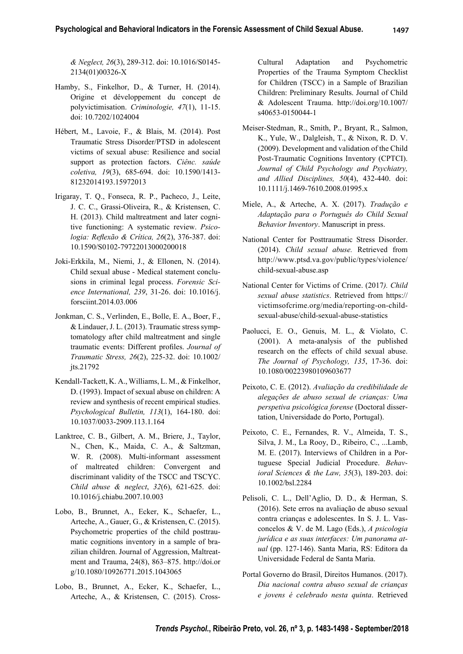*& Neglect, 26*(3), 289-312. doi: 10.1016/S0145- 2134(01)00326-X

- Hamby, S., Finkelhor, D., & Turner, H. (2014). Origine et développement du concept de polyvictimisation. *Criminologie, 47*(1), 11-15. doi: 10.7202/1024004
- Hébert, M., Lavoie, F., & Blais, M. (2014). Post Traumatic Stress Disorder/PTSD in adolescent victims of sexual abuse: Resilience and social support as protection factors. *Ciênc. saúde coletiva, 19*(3), 685-694. doi: 10.1590/1413- 81232014193.15972013
- Irigaray, T. Q., Fonseca, R. P., Pacheco, J., Leite, J. C. C., Grassi-Oliveira, R., & Kristensen, C. H. (2013). Child maltreatment and later cognitive functioning: A systematic review. *Psicologia: Reflexão & Crítica, 26(2), 376-387. doi:* 10.1590/S0102-79722013000200018
- Joki-Erkkila, M., Niemi, J., & Ellonen, N. (2014). Child sexual abuse - Medical statement conclusions in criminal legal process. *Forensic Science International, 239*, 31-26. doi: 10.1016/j. forsciint.2014.03.006
- Jonkman, C. S., Verlinden, E., Bolle, E. A., Boer, F., & Lindauer, J. L. (2013). Traumatic stress symptomatology after child maltreatment and single traumatic events: Different profiles. Journal of *Traumatic Stress, 26*(2), 225-32. doi: 10.1002/ jts.21792
- Kendall-Tackett, K. A., Williams, L. M., & Finkelhor, D. (1993). Impact of sexual abuse on children: A review and synthesis of recent empirical studies. *Psychological Bulletin, 113*(1), 164-180. doi: 10.1037/0033-2909.113.1.164
- Lanktree, C. B., Gilbert, A. M., Briere, J., Taylor, N., Chen, K., Maida, C. A., & Saltzman, W. R. (2008). Multi-informant assessment of maltreated children: Convergent and discriminant validity of the TSCC and TSCYC. *Child abuse & neglect*, *32*(6), 621-625. doi: 10.1016/j.chiabu.2007.10.003
- Lobo, B., Brunnet, A., Ecker, K., Schaefer, L., Arteche, A., Gauer, G., & Kristensen, C. (2015). Psychometric properties of the child posttraumatic cognitions inventory in a sample of brazilian children. Journal of Aggression, Maltreatment and Trauma, 24(8), 863–875. http://doi.or g/10.1080/10926771.2015.1043065
- Lobo, B., Brunnet, A., Ecker, K., Schaefer, L., Arteche, A., & Kristensen, C. (2015). Cross-

Cultural Adaptation and Psychometric Properties of the Trauma Symptom Checklist for Children (TSCC) in a Sample of Brazilian Children: Preliminary Results. Journal of Child & Adolescent Trauma. http://doi.org/10.1007/ s40653-0150044-1

- Meiser-Stedman, R., Smith, P., Bryant, R., Salmon, K., Yule, W., Dalgleish, T., & Nixon, R. D. V. (2009). Development and validation of the Child Post-Traumatic Cognitions Inventory (CPTCI). *Journal of Child Psychology and Psychiatry, and Allied Disciplines, 50*(4), 432-440. doi: 10.1111/j.1469-7610.2008.01995.x
- Miele, A., & Arteche, A. X. (2017). *Tradução e Adaptação para o Português do Child Sexual Behavior Inventory*. Manuscript in press.
- National Center for Posttraumatic Stress Disorder. (2014). *Child sexual abuse.* Retrieved from http://www.ptsd.va.gov/public/types/violence/ child-sexual-abuse.asp
- National Center for Victims of Crime. (2017*). Child sexual abuse statistics*. Retrieved from https:// victimsofcrime.org/media/reporting-on-childsexual-abuse/child-sexual-abuse-statistics
- Paolucci, E. O., Genuis, M. L., & Violato, C. (2001). A meta-analysis of the published research on the effects of child sexual abuse. *The Journal of Psychology, 135*, 17-36. doi: 10.1080/00223980109603677
- Peixoto, C. E. (2012). *Avaliação da credibilidade de alegações de abuso sexual de crianças: Uma perspetiva psicológica forense* (Doctoral dissertation, Universidade do Porto, Portugal).
- Peixoto, C. E., Fernandes, R. V., Almeida, T. S., Silva, J. M., La Rooy, D., Ribeiro, C., ...Lamb, M. E. (2017). Interviews of Children in a Portuguese Special Judicial Procedure. *Behavioral Sciences & the Law, 35*(3), 189-203. doi: 10.1002/bsl.2284
- Pelisoli, C. L., Dell'Aglio, D. D., & Herman, S. (2016). Sete erros na avaliação de abuso sexual contra crianças e adolescentes. In S. J. L. Vasconcelos & V. de M. Lago (Eds.), *A psicologia jurídica e as suas interfaces: Um panorama atual* (pp. 127-146). Santa Maria, RS: Editora da Universidade Federal de Santa Maria.
- Portal Governo do Brasil, Direitos Humanos. (2017). *Dia nacional contra abuso sexual de crianças e jovens é celebrado nesta quinta*. Retrieved